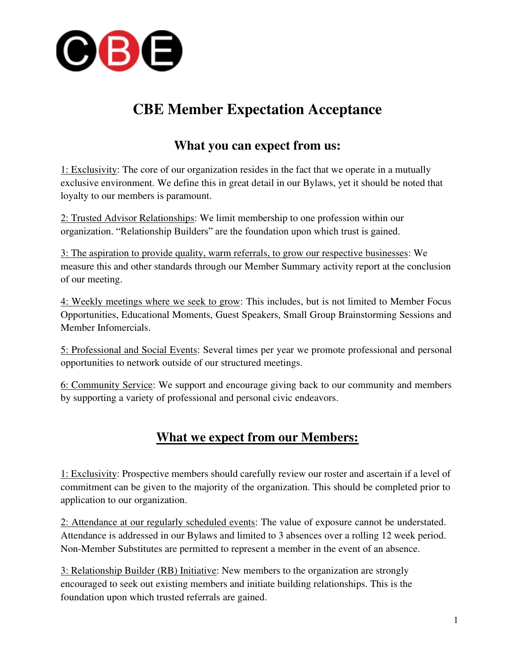

## **CBE Member Expectation Acceptance**

## **What you can expect from us:**

1: Exclusivity: The core of our organization resides in the fact that we operate in a mutually exclusive environment. We define this in great detail in our Bylaws, yet it should be noted that loyalty to our members is paramount.

2: Trusted Advisor Relationships: We limit membership to one profession within our organization. "Relationship Builders" are the foundation upon which trust is gained.

3: The aspiration to provide quality, warm referrals, to grow our respective businesses: We measure this and other standards through our Member Summary activity report at the conclusion of our meeting.

4: Weekly meetings where we seek to grow: This includes, but is not limited to Member Focus Opportunities, Educational Moments, Guest Speakers, Small Group Brainstorming Sessions and Member Infomercials.

5: Professional and Social Events: Several times per year we promote professional and personal opportunities to network outside of our structured meetings.

6: Community Service: We support and encourage giving back to our community and members by supporting a variety of professional and personal civic endeavors.

## **What we expect from our Members:**

1: Exclusivity: Prospective members should carefully review our roster and ascertain if a level of commitment can be given to the majority of the organization. This should be completed prior to application to our organization.

2: Attendance at our regularly scheduled events: The value of exposure cannot be understated. Attendance is addressed in our Bylaws and limited to 3 absences over a rolling 12 week period. Non-Member Substitutes are permitted to represent a member in the event of an absence.

3: Relationship Builder (RB) Initiative: New members to the organization are strongly encouraged to seek out existing members and initiate building relationships. This is the foundation upon which trusted referrals are gained.